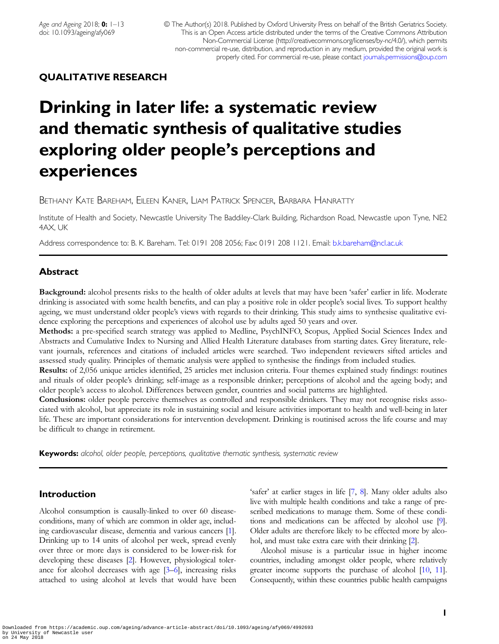# QUALITATIVE RESEARCH

# Drinking in later life: a systematic review and thematic synthesis of qualitative studies exploring older people's perceptions and experiences

BETHANY KATE BAREHAM, EILEEN KANER, LIAM PATRICK SPENCER, BARBARA HANRATTY

Institute of Health and Society, Newcastle University The Baddiley-Clark Building, Richardson Road, Newcastle upon Tyne, NE2 4AX, UK

Address correspondence to: B. K. Bareham. Tel: 0191 208 2056; Fax: 0191 208 1121. Email: [b.k.bareham@ncl.ac.uk](mailto: b.k.bareham@ncl.ac.uk)

# Abstract

Background: alcohol presents risks to the health of older adults at levels that may have been 'safer' earlier in life. Moderate drinking is associated with some health benefits, and can play a positive role in older people's social lives. To support healthy ageing, we must understand older people's views with regards to their drinking. This study aims to synthesise qualitative evidence exploring the perceptions and experiences of alcohol use by adults aged 50 years and over.

Methods: a pre-specified search strategy was applied to Medline, PsychINFO, Scopus, Applied Social Sciences Index and Abstracts and Cumulative Index to Nursing and Allied Health Literature databases from starting dates. Grey literature, relevant journals, references and citations of included articles were searched. Two independent reviewers sifted articles and assessed study quality. Principles of thematic analysis were applied to synthesise the findings from included studies.

Results: of 2,056 unique articles identified, 25 articles met inclusion criteria. Four themes explained study findings: routines and rituals of older people's drinking; self-image as a responsible drinker; perceptions of alcohol and the ageing body; and older people's access to alcohol. Differences between gender, countries and social patterns are highlighted.

Conclusions: older people perceive themselves as controlled and responsible drinkers. They may not recognise risks associated with alcohol, but appreciate its role in sustaining social and leisure activities important to health and well-being in later life. These are important considerations for intervention development. Drinking is routinised across the life course and may be difficult to change in retirement.

**Keywords:** alcohol, older people, perceptions, qualitative thematic synthesis, systematic review

# Introduction

Alcohol consumption is causally-linked to over 60 diseaseconditions, many of which are common in older age, including cardiovascular disease, dementia and various cancers [\[1\]](#page-12-0). Drinking up to 14 units of alcohol per week, spread evenly over three or more days is considered to be lower-risk for developing these diseases [[2\]](#page-12-0). However, physiological tolerance for alcohol decreases with age  $[3-6]$  $[3-6]$  $[3-6]$  $[3-6]$ , increasing risks attached to using alcohol at levels that would have been

'safer' at earlier stages in life [[7,](#page-12-0) [8\]](#page-12-0). Many older adults also live with multiple health conditions and take a range of prescribed medications to manage them. Some of these conditions and medications can be affected by alcohol use [\[9\]](#page-12-0). Older adults are therefore likely to be effected more by alcohol, and must take extra care with their drinking [[2](#page-12-0)].

Alcohol misuse is a particular issue in higher income countries, including amongst older people, where relatively greater income supports the purchase of alcohol [[10](#page-12-0), [11\]](#page-12-0). Consequently, within these countries public health campaigns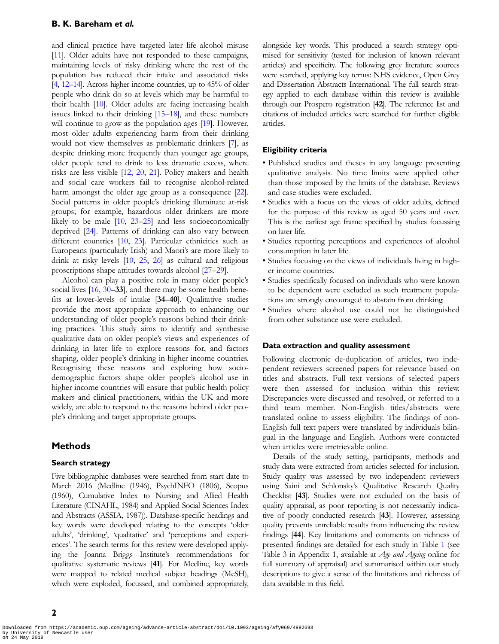#### B. K. Bareham et al.

and clinical practice have targeted later life alcohol misuse [\[11\]](#page-12-0). Older adults have not responded to these campaigns, maintaining levels of risky drinking where the rest of the population has reduced their intake and associated risks [\[4](#page-12-0), [12](#page-12-0)–[14\]](#page-12-0). Across higher income countries, up to 45% of older people who drink do so at levels which may be harmful to their health [\[10](#page-12-0)]. Older adults are facing increasing health issues linked to their drinking [[15](#page-12-0)–[18\]](#page-12-0), and these numbers will continue to grow as the population ages [[19](#page-12-0)]. However, most older adults experiencing harm from their drinking would not view themselves as problematic drinkers [\[7\]](#page-12-0), as despite drinking more frequently than younger age groups, older people tend to drink to less dramatic excess, where risks are less visible [\[12](#page-12-0), [20](#page-12-0), [21](#page-12-0)]. Policy makers and health and social care workers fail to recognise alcohol-related harm amongst the older age group as a consequence [\[22](#page-12-0)]. Social patterns in older people's drinking illuminate at-risk groups; for example, hazardous older drinkers are more likely to be male [\[10](#page-12-0), [23](#page-12-0)–[25](#page-12-0)] and less socioeconomically deprived [\[24](#page-12-0)]. Patterns of drinking can also vary between different countries [[10](#page-12-0), [23\]](#page-12-0). Particular ethnicities such as Europeans (particularly Irish) and Maori's are more likely to drink at risky levels [[10,](#page-12-0) [25,](#page-12-0) [26\]](#page-12-0) as cultural and religious proscriptions shape attitudes towards alcohol [[27](#page-12-0)–[29](#page-12-0)].

Alcohol can play a positive role in many older people's social lives [\[16](#page-12-0), [30](#page-12-0)–33], and there may be some health benefits at lower-levels of intake [34–40]. Qualitative studies provide the most appropriate approach to enhancing our understanding of older people's reasons behind their drinking practices. This study aims to identify and synthesise qualitative data on older people's views and experiences of drinking in later life to explore reasons for, and factors shaping, older people's drinking in higher income countries. Recognising these reasons and exploring how sociodemographic factors shape older people's alcohol use in higher income countries will ensure that public health policy makers and clinical practitioners, within the UK and more widely, are able to respond to the reasons behind older people's drinking and target appropriate groups.

# **Methods**

#### Search strategy

Five bibliographic databases were searched from start date to March 2016 (Medline (1946), PsychINFO (1806), Scopus (1960), Cumulative Index to Nursing and Allied Health Literature (CINAHL, 1984) and Applied Social Sciences Index and Abstracts (ASSIA, 1987)). Database-specific headings and key words were developed relating to the concepts 'older adults', 'drinking', 'qualitative' and 'perceptions and experiences'. The search terms for this review were developed applying the Joanna Briggs Institute's recommendations for qualitative systematic reviews [41]. For Medline, key words were mapped to related medical subject headings (MeSH), which were exploded, focussed, and combined appropriately, alongside key words. This produced a search strategy optimised for sensitivity (tested for inclusion of known relevant articles) and specificity. The following grey literature sources were searched, applying key terms: NHS evidence, Open Grey and Dissertation Abstracts International. The full search strategy applied to each database within this review is available through our Prospero registration [42]. The reference list and citations of included articles were searched for further eligible articles.

#### Eligibility criteria

- Published studies and theses in any language presenting qualitative analysis. No time limits were applied other than those imposed by the limits of the database. Reviews and case studies were excluded.
- Studies with a focus on the views of older adults, defined for the purpose of this review as aged 50 years and over. This is the earliest age frame specified by studies focussing on later life.
- Studies reporting perceptions and experiences of alcohol consumption in later life.
- Studies focusing on the views of individuals living in higher income countries.
- Studies specifically focused on individuals who were known to be dependent were excluded as such treatment populations are strongly encouraged to abstain from drinking.
- Studies where alcohol use could not be distinguished from other substance use were excluded.

# Data extraction and quality assessment

Following electronic de-duplication of articles, two independent reviewers screened papers for relevance based on titles and abstracts. Full text versions of selected papers were then assessed for inclusion within this review. Discrepancies were discussed and resolved, or referred to a third team member. Non-English titles/abstracts were translated online to assess eligibility. The findings of non-English full text papers were translated by individuals bilingual in the language and English. Authors were contacted when articles were irretrievable online.

Details of the study setting, participants, methods and study data were extracted from articles selected for inclusion. Study quality was assessed by two independent reviewers using Saini and Schlonsky's Qualitative Research Quality Checklist [43]. Studies were not excluded on the basis of quality appraisal, as poor reporting is not necessarily indicative of poorly conducted research [43]. However, assessing quality prevents unreliable results from influencing the review findings [44]. Key limitations and comments on richness of presented findings are detailed for each study in Table [1](#page-2-0) (see Table 3 in Appendix 1, available at Age and Ageing online for full summary of appraisal) and summarised within our study descriptions to give a sense of the limitations and richness of data available in this field.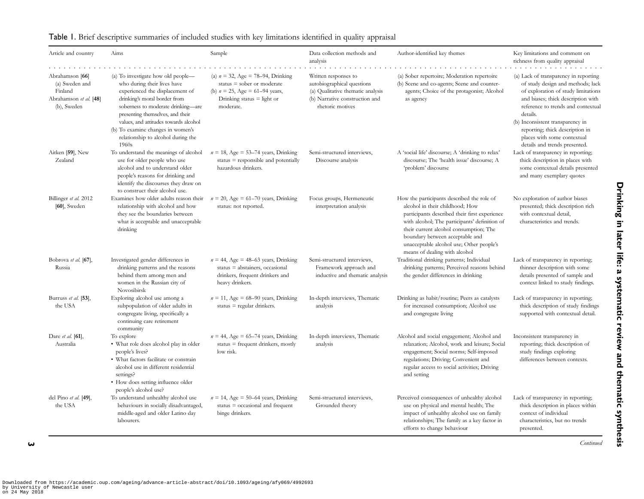| Article and country                                                                   | Aims                                                                                                                                                                                                                                                    | Sample                                                                                                                                                 | Data collection methods and<br>analysis                                                                                                       | Author-identified key themes                                                                                                                                                                                                                                                                                                              | Key limitations and comment on<br>richness from quality appraisal                                                                                                                                                                             |
|---------------------------------------------------------------------------------------|---------------------------------------------------------------------------------------------------------------------------------------------------------------------------------------------------------------------------------------------------------|--------------------------------------------------------------------------------------------------------------------------------------------------------|-----------------------------------------------------------------------------------------------------------------------------------------------|-------------------------------------------------------------------------------------------------------------------------------------------------------------------------------------------------------------------------------------------------------------------------------------------------------------------------------------------|-----------------------------------------------------------------------------------------------------------------------------------------------------------------------------------------------------------------------------------------------|
| Abrahamson [66]<br>(a) Sweden and<br>Finland<br>Abrahamson et al. [48]<br>(b), Sweden | (a) To investigate how old people—<br>who during their lives have<br>experienced the displacement of<br>drinking's moral border from<br>soberness to moderate drinking-are<br>presenting themselves, and their<br>values, and attitudes towards alcohol | (a) $n = 32$ , Age = 78–94, Drinking<br>status $=$ sober or moderate<br>(b) $n = 25$ , Age = 61–94 years,<br>Drinking status $=$ light or<br>moderate. | Written responses to<br>autobiographical questions<br>(a) Qualitative thematic analysis<br>(b) Narrative construction and<br>rhetoric motives | (a) Sober repertoire; Moderation repertoire<br>(b) Scene and co-agents; Scene and counter-<br>agents; Choice of the protagonist; Alcohol<br>as agency                                                                                                                                                                                     | (a) Lack of transparency in reporting<br>of study design and methods; lack<br>of exploration of study limitations<br>and biases; thick description with<br>reference to trends and contextual<br>details.<br>(b) Inconsistent transparency in |
|                                                                                       | (b) To examine changes in women's<br>relationship to alcohol during the<br>1960s                                                                                                                                                                        |                                                                                                                                                        |                                                                                                                                               |                                                                                                                                                                                                                                                                                                                                           | reporting; thick description in<br>places with some contextual<br>details and trends presented.                                                                                                                                               |
| Aitken [59], New<br>Zealand                                                           | To understand the meanings of alcohol<br>use for older people who use<br>alcohol and to understand older<br>people's reasons for drinking and<br>identify the discourses they draw on<br>to construct their alcohol use.                                | $n = 18$ , Age = 53–74 years, Drinking<br>status $=$ responsible and potentially<br>hazardous drinkers.                                                | Semi-structured interviews,<br>Discourse analysis                                                                                             | A 'social life' discourse; A 'drinking to relax'<br>discourse; The 'health issue' discourse; A<br>'problem' discourse                                                                                                                                                                                                                     | Lack of transparency in reporting;<br>thick description in places with<br>some contextual details presented<br>and many exemplary quotes                                                                                                      |
| Billinger et al. 2012<br>$[60]$ , Sweden                                              | Examines how older adults reason their<br>relationship with alcohol and how<br>they see the boundaries between<br>what is acceptable and unacceptable<br>drinking                                                                                       | $n = 20$ , Age = 61–70 years, Drinking<br>status: not reported.                                                                                        | Focus groups, Hermeneutic<br>interpretation analysis                                                                                          | How the participants described the role of<br>alcohol in their childhood; How<br>participants described their first experience<br>with alcohol; The participants' definition of<br>their current alcohol consumption; The<br>boundary between acceptable and<br>unacceptable alcohol use; Other people's<br>means of dealing with alcohol | No exploration of author biases<br>presented; thick description rich<br>with contextual detail,<br>characteristics and trends.                                                                                                                |
| Bobrova et al. [67],<br>Russia                                                        | Investigated gender differences in<br>drinking patterns and the reasons<br>behind them among men and<br>women in the Russian city of<br>Novosibirsk                                                                                                     | $n = 44$ , Age = 48–63 years, Drinking<br>status = abstainers, occasional<br>drinkers, frequent drinkers and<br>heavy drinkers.                        | Semi-structured interviews,<br>Framework approach and<br>inductive and thematic analysis                                                      | Traditional drinking patterns; Individual<br>drinking patterns; Perceived reasons behind<br>the gender differences in drinking                                                                                                                                                                                                            | Lack of transparency in reporting;<br>thinner description with some<br>details presented of sample and<br>context linked to study findings.                                                                                                   |
| Burruss et al. [53].<br>the USA                                                       | Exploring alcohol use among a<br>subpopulation of older adults in<br>congregate living, specifically a<br>continuing care retirement<br>community                                                                                                       | $n = 11$ , Age = 68-90 years, Drinking<br>status $=$ regular drinkers.                                                                                 | In-depth interviews, Thematic<br>analysis                                                                                                     | Drinking as habit/routine; Peers as catalysts<br>for increased consumption; Alcohol use<br>and congregate living                                                                                                                                                                                                                          | Lack of transparency in reporting;<br>thick description of study findings<br>supported with contextual detail.                                                                                                                                |
| Dare et al. [61],<br>Australia                                                        | To explore<br>• What role does alcohol play in older<br>people's lives?<br>· What factors facilitate or constrain<br>alcohol use in different residential<br>settings?<br>• How does setting influence older                                            | $n = 44$ , Age = 65–74 years, Drinking<br>status $=$ frequent drinkers, mostly<br>low risk.                                                            | In-depth interviews, Thematic<br>analysis                                                                                                     | Alcohol and social engagement; Alcohol and<br>relaxation; Alcohol, work and leisure; Social<br>engagement; Social norms; Self-imposed<br>regulations; Driving; Convenient and<br>regular access to social activities; Driving<br>and setting                                                                                              | Inconsistent transparency in<br>reporting; thick description of<br>study findings exploring<br>differences between contexts.                                                                                                                  |
| del Pino et al. [49],<br>the USA                                                      | people's alcohol use?<br>To understand unhealthy alcohol use<br>behaviours in socially disadvantaged,<br>middle-aged and older Latino day<br>labourers.                                                                                                 | $n = 14$ , Age = 50–64 years, Drinking<br>status $=$ occasional and frequent<br>binge drinkers.                                                        | Semi-structured interviews,<br>Grounded theory                                                                                                | Perceived consequences of unhealthy alcohol<br>use on physical and mental health; The<br>impact of unhealthy alcohol use on family<br>relationships; The family as a key factor in<br>efforts to change behaviour                                                                                                                         | Lack of transparency in reporting;<br>thick description in places within<br>context of individual<br>characteristics, but no trends<br>presented.                                                                                             |

### <span id="page-2-0"></span>Table 1. Brief descriptive summaries of included studies with key limitations identi fied in quality appraisal

Continued

Drinking in later life: a systematic review and thematic synthesis

Drinking in later life: a systematic review and thematic synthesis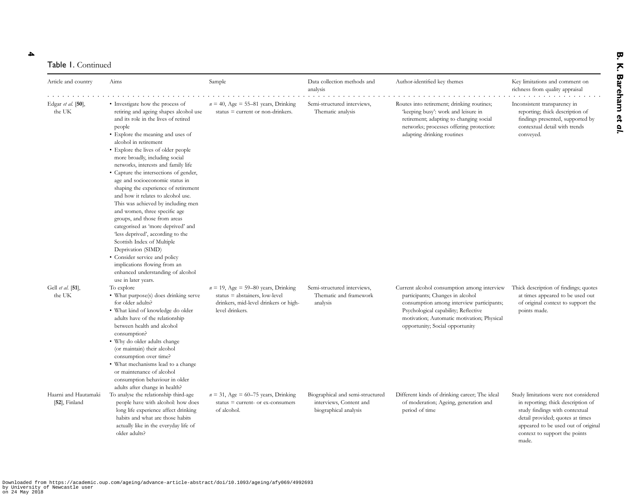4

#### Table 1. Continued

| Article and country                   | Aims                                                                                                                                                                                                                                                                                                                                                                                                                                                                                                                                                                                                                                                                                                                                                                                                              | Sample                                                                                                                               | Data collection methods and<br>analysis                                              | Author-identified key themes                                                                                                                                                                                                                          | Key limitations and comment on<br>richness from quality appraisal                                                                                                                                                                  |
|---------------------------------------|-------------------------------------------------------------------------------------------------------------------------------------------------------------------------------------------------------------------------------------------------------------------------------------------------------------------------------------------------------------------------------------------------------------------------------------------------------------------------------------------------------------------------------------------------------------------------------------------------------------------------------------------------------------------------------------------------------------------------------------------------------------------------------------------------------------------|--------------------------------------------------------------------------------------------------------------------------------------|--------------------------------------------------------------------------------------|-------------------------------------------------------------------------------------------------------------------------------------------------------------------------------------------------------------------------------------------------------|------------------------------------------------------------------------------------------------------------------------------------------------------------------------------------------------------------------------------------|
| Edgar et al. [50],<br>the UK          | • Investigate how the process of<br>retiring and ageing shapes alcohol use<br>and its role in the lives of retired<br>people<br>• Explore the meaning and uses of<br>alcohol in retirement<br>• Explore the lives of older people<br>more broadly, including social<br>networks, interests and family life<br>• Capture the intersections of gender,<br>age and socioeconomic status in<br>shaping the experience of retirement<br>and how it relates to alcohol use.<br>This was achieved by including men<br>and women, three specific age<br>groups, and those from areas<br>categorised as 'more deprived' and<br>'less deprived', according to the<br>Scottish Index of Multiple<br>Deprivation (SIMD)<br>• Consider service and policy<br>implications flowing from an<br>enhanced understanding of alcohol | $n = 40$ , Age = 55–81 years, Drinking<br>status $=$ current or non-drinkers.                                                        | Semi-structured interviews,<br>Thematic analysis                                     | Routes into retirement; drinking routines;<br>'keeping busy': work and leisure in<br>retirement; adapting to changing social<br>networks; processes offering protection:<br>adapting drinking routines                                                | Inconsistent transparency in<br>reporting; thick description of<br>findings presented, supported by<br>contextual detail with trends<br>conveyed.                                                                                  |
| Gell et al. [51],<br>the UK           | use in later years.<br>To explore<br>• What purpose(s) does drinking serve<br>for older adults?<br>· What kind of knowledge do older<br>adults have of the relationship<br>between health and alcohol<br>consumption?<br>• Why do older adults change<br>(or maintain) their alcohol<br>consumption over time?<br>• What mechanisms lead to a change<br>or maintenance of alcohol<br>consumption behaviour in older                                                                                                                                                                                                                                                                                                                                                                                               | $n = 19$ , Age = 59–80 years, Drinking<br>status = abstainers, low-level<br>drinkers, mid-level drinkers or high-<br>level drinkers. | Semi-structured interviews,<br>Thematic and framework<br>analysis                    | Current alcohol consumption among interview<br>participants; Changes in alcohol<br>consumption among interview participants;<br>Psychological capability; Reflective<br>motivation; Automatic motivation; Physical<br>opportunity; Social opportunity | Thick description of findings; quotes<br>at times appeared to be used out<br>of original context to support the<br>points made.                                                                                                    |
| Haarni and Hautamaki<br>[52], Finland | adults after change in health?<br>To analyse the relationship third-age<br>people have with alcohol: how does<br>long life experience affect drinking<br>habits and what are those habits<br>actually like in the everyday life of<br>older adults?                                                                                                                                                                                                                                                                                                                                                                                                                                                                                                                                                               | $n = 31$ , Age = 60-75 years, Drinking<br>status = current- or ex-consumers<br>of alcohol.                                           | Biographical and semi-structured<br>interviews, Content and<br>biographical analysis | Different kinds of drinking career; The ideal<br>of moderation; Ageing, generation and<br>period of time                                                                                                                                              | Study limitations were not considered<br>in reporting; thick description of<br>study findings with contextual<br>detail provided; quotes at times<br>appeared to be used out of original<br>context to support the points<br>made. |

Downloaded from https://academic.oup.com/ageing/advance-article-abstract/doi/10.1093/ageing/afy069/4992693 by University of Newcastle user on 24 May 2018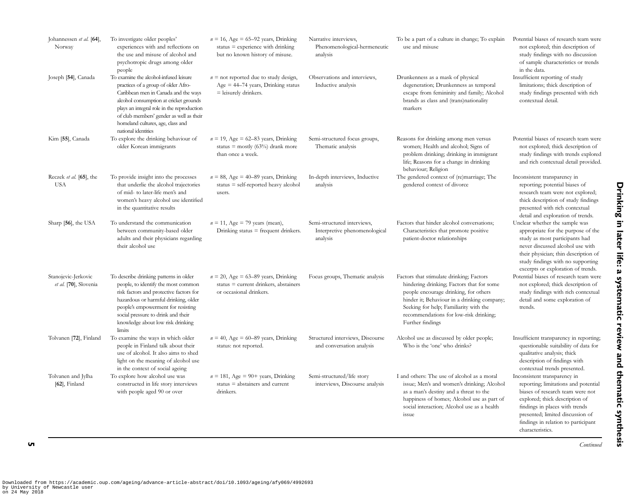| Johannessen et al. [64],<br>Norway           | To investigate older peoples'<br>experiences with and reflections on<br>the use and misuse of alcohol and<br>psychotropic drugs among older<br>people                                                                                                                                                                 | $n = 16$ , Age = 65-92 years, Drinking<br>status $=$ experience with drinking<br>but no known history of misuse. | Narrative interviews,<br>Phenomenological-hermeneutic<br>analysis        | To be a part of a culture in change; To explain<br>use and misuse                                                                                                                                                                                                                     | Potential biases of research team were<br>not explored; thin description of<br>study findings with no discussion<br>of sample characteristics or trends<br>in the data.                                                                                                     |
|----------------------------------------------|-----------------------------------------------------------------------------------------------------------------------------------------------------------------------------------------------------------------------------------------------------------------------------------------------------------------------|------------------------------------------------------------------------------------------------------------------|--------------------------------------------------------------------------|---------------------------------------------------------------------------------------------------------------------------------------------------------------------------------------------------------------------------------------------------------------------------------------|-----------------------------------------------------------------------------------------------------------------------------------------------------------------------------------------------------------------------------------------------------------------------------|
| Joseph [54], Canada                          | To examine the alcohol-infused leisure<br>practices of a group of older Afro-<br>Caribbean men in Canada and the ways<br>alcohol consumption at cricket grounds<br>plays an integral role in the reproduction<br>of club members' gender as well as their<br>homeland cultures, age, class and<br>national identities | $n =$ not reported due to study design,<br>$Age = 44–74$ years, Drinking status<br>$=$ leisurely drinkers.       | Observations and interviews,<br>Inductive analysis                       | Drunkenness as a mask of physical<br>degeneration; Drunkenness as temporal<br>escape from femininity and family; Alcohol<br>brands as class and (trans)nationality<br>markers                                                                                                         | Insufficient reporting of study<br>limitations; thick description of<br>study findings presented with rich<br>contextual detail.                                                                                                                                            |
| Kim [55], Canada                             | To explore the drinking behaviour of<br>older Korean immigrants                                                                                                                                                                                                                                                       | $n = 19$ , Age = 62–83 years, Drinking<br>status = mostly (63%) drank more<br>than once a week.                  | Semi-structured focus groups,<br>Thematic analysis                       | Reasons for drinking among men versus<br>women; Health and alcohol; Signs of<br>problem drinking; drinking in immigrant<br>life; Reasons for a change in drinking<br>behaviour; Religion                                                                                              | Potential biases of research team were<br>not explored; thick description of<br>study findings with trends explored<br>and rich contextual detail provided.                                                                                                                 |
| Reczek et al. [65], the<br><b>USA</b>        | To provide insight into the processes<br>that underlie the alcohol trajectories<br>of mid- to later-life men's and<br>women's heavy alcohol use identified<br>in the quantitative results                                                                                                                             | $n = 88$ , Age = 40–89 years, Drinking<br>$status = self-reported heavy alcohol$<br>users.                       | In-depth interviews, Inductive<br>analysis                               | The gendered context of (re)marriage; The<br>gendered context of divorce                                                                                                                                                                                                              | Inconsistent transparency in<br>reporting; potential biases of<br>research team were not explored;<br>thick description of study findings<br>presented with rich contextual<br>detail and exploration of trends.                                                            |
| Sharp [56], the USA                          | To understand the communication<br>between community-based older<br>adults and their physicians regarding<br>their alcohol use                                                                                                                                                                                        | $n = 11$ , Age = 79 years (mean),<br>Drinking status $=$ frequent drinkers.                                      | Semi-structured interviews,<br>Interpretive phenomenological<br>analysis | Factors that hinder alcohol conversations;<br>Characteristics that promote positive<br>patient-doctor relationships                                                                                                                                                                   | Unclear whether the sample was<br>appropriate for the purpose of the<br>study as most participants had<br>never discussed alcohol use with<br>their physician; thin description of<br>study findings with no supporting<br>excerpts or exploration of trends.               |
| Stanojevic-Jerkovic<br>et al. [70], Slovenia | To describe drinking patterns in older<br>people, to identify the most common<br>risk factors and protective factors for<br>hazardous or harmful drinking, older<br>people's empowerment for resisting<br>social pressure to drink and their<br>knowledge about low risk drinking<br>limits                           | $n = 20$ , Age = 63–89 years, Drinking<br>status $=$ current drinkers, abstainers<br>or occasional drinkers.     | Focus groups, Thematic analysis                                          | Factors that stimulate drinking; Factors<br>hindering drinking; Factors that for some<br>people encourage drinking, for others<br>hinder it; Behaviour in a drinking company;<br>Seeking for help; Familiarity with the<br>recommendations for low-risk drinking;<br>Further findings | Potential biases of research team were<br>not explored; thick description of<br>study findings with rich contextual<br>detail and some exploration of<br>trends.                                                                                                            |
| Tolvanen [72], Finland                       | To examine the ways in which older<br>people in Finland talk about their<br>use of alcohol. It also aims to shed<br>light on the meaning of alcohol use<br>in the context of social ageing                                                                                                                            | $n = 40$ , Age = 60–89 years, Drinking<br>status: not reported.                                                  | Structured interviews, Discourse<br>and conversation analysis            | Alcohol use as discussed by older people;<br>Who is the 'one' who drinks?                                                                                                                                                                                                             | Insufficient transparency in reporting;<br>questionable suitability of data for<br>qualitative analysis; thick<br>description of findings with<br>contextual trends presented.                                                                                              |
| Tolvanen and Jylha<br>$[62]$ , Finland       | To explore how alcohol use was<br>constructed in life story interviews<br>with people aged 90 or over                                                                                                                                                                                                                 | $n = 181$ , Age = 90+ years, Drinking<br>status $=$ abstainers and current<br>drinkers.                          | Semi-structured/life story<br>interviews, Discourse analysis             | I and others: The use of alcohol as a moral<br>issue; Men's and women's drinking; Alcohol<br>as a man's destiny and a threat to the<br>happiness of homes; Alcohol use as part of<br>social interaction; Alcohol use as a health<br>issue                                             | Inconsistent transparency in<br>reporting; limitations and potential<br>biases of research team were not<br>explored; thick description of<br>findings in places with trends<br>presented; limited discussion of<br>findings in relation to participant<br>characteristics. |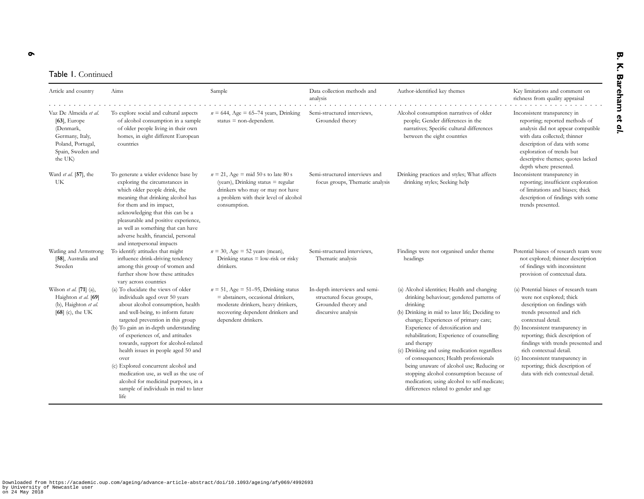# Table 1. Continued

| Article and country                                                                                                           | Aims                                                                                                                                                                                                                                                                                                                                                                                                                                                                                                                             | Sample                                                                                                                                                                            | Data collection methods and<br>analysis                                                                 | Author-identified key themes                                                                                                                                                                                                                                                                                                                                                                                                                                                                                                                                           | Key limitations and comment on<br>richness from quality appraisal                                                                                                                                                                                                                                                                                                                                        |
|-------------------------------------------------------------------------------------------------------------------------------|----------------------------------------------------------------------------------------------------------------------------------------------------------------------------------------------------------------------------------------------------------------------------------------------------------------------------------------------------------------------------------------------------------------------------------------------------------------------------------------------------------------------------------|-----------------------------------------------------------------------------------------------------------------------------------------------------------------------------------|---------------------------------------------------------------------------------------------------------|------------------------------------------------------------------------------------------------------------------------------------------------------------------------------------------------------------------------------------------------------------------------------------------------------------------------------------------------------------------------------------------------------------------------------------------------------------------------------------------------------------------------------------------------------------------------|----------------------------------------------------------------------------------------------------------------------------------------------------------------------------------------------------------------------------------------------------------------------------------------------------------------------------------------------------------------------------------------------------------|
| Vaz De Almeida et al.<br>$[63]$ , Europe<br>(Denmark,<br>Germany, Italy,<br>Poland, Portugal,<br>Spain, Sweden and<br>the UK) | To explore social and cultural aspects<br>of alcohol consumption in a sample<br>of older people living in their own<br>homes, in eight different European<br>countries                                                                                                                                                                                                                                                                                                                                                           | $n = 644$ , Age = 65–74 years, Drinking<br>status $=$ non-dependent.                                                                                                              | Semi-structured interviews.<br>Grounded theory                                                          | Alcohol consumption narratives of older<br>people; Gender differences in the<br>narratives; Specific cultural differences<br>between the eight countries                                                                                                                                                                                                                                                                                                                                                                                                               | Inconsistent transparency in<br>reporting; reported methods of<br>analysis did not appear compatible<br>with data collected; thinner<br>description of data with some<br>exploration of trends but<br>descriptive themes; quotes lacked<br>depth where presented.                                                                                                                                        |
| Ward et al. [57], the<br>UK                                                                                                   | To generate a wider evidence base by<br>exploring the circumstances in<br>which older people drink, the<br>meaning that drinking alcohol has<br>for them and its impact,<br>acknowledging that this can be a<br>pleasurable and positive experience,<br>as well as something that can have<br>adverse health, financial, personal<br>and interpersonal impacts                                                                                                                                                                   | $n = 21$ , Age = mid 50 s to late 80 s<br>(years), Drinking status $=$ regular<br>drinkers who may or may not have<br>a problem with their level of alcohol<br>consumption.       | Semi-structured interviews and<br>focus groups, Thematic analysis                                       | Drinking practices and styles; What affects<br>drinking styles; Seeking help                                                                                                                                                                                                                                                                                                                                                                                                                                                                                           | Inconsistent transparency in<br>reporting; insufficient exploration<br>of limitations and biases; thick<br>description of findings with some<br>trends presented.                                                                                                                                                                                                                                        |
| Watling and Armstrong<br>[58], Australia and<br>Sweden                                                                        | To identify attitudes that might<br>influence drink-driving tendency<br>among this group of women and<br>further show how these attitudes<br>vary across countries                                                                                                                                                                                                                                                                                                                                                               | $n = 30$ , Age = 52 years (mean),<br>Drinking status $=$ low-risk or risky<br>drinkers.                                                                                           | Semi-structured interviews,<br>Thematic analysis                                                        | Findings were not organised under theme<br>headings                                                                                                                                                                                                                                                                                                                                                                                                                                                                                                                    | Potential biases of research team were<br>not explored; thinner description<br>of findings with inconsistent<br>provision of contextual data.                                                                                                                                                                                                                                                            |
| Wilson et al. $[71]$ (a),<br>Haighton et al. [69]<br>(b), Haighton et al.<br>$[68]$ (c), the UK                               | (a) To elucidate the views of older<br>individuals aged over 50 years<br>about alcohol consumption, health<br>and well-being, to inform future<br>targeted prevention in this group<br>(b) To gain an in-depth understanding<br>of experiences of, and attitudes<br>towards, support for alcohol-related<br>health issues in people aged 50 and<br>over<br>(c) Explored concurrent alcohol and<br>medication use, as well as the use of<br>alcohol for medicinal purposes, in a<br>sample of individuals in mid to later<br>life | $n = 51$ , Age = 51–95, Drinking status<br>$=$ abstainers, occasional drinkers,<br>moderate drinkers, heavy drinkers,<br>recovering dependent drinkers and<br>dependent drinkers. | In-depth interviews and semi-<br>structured focus groups,<br>Grounded theory and<br>discursive analysis | (a) Alcohol identities; Health and changing<br>drinking behaviour; gendered patterns of<br>drinking<br>(b) Drinking in mid to later life; Deciding to<br>change; Experiences of primary care;<br>Experience of detoxification and<br>rehabilitation; Experience of counselling<br>and therapy<br>(c) Drinking and using medication regardless<br>of consequences; Health professionals<br>being unaware of alcohol use; Reducing or<br>stopping alcohol consumption because of<br>medication; using alcohol to self-medicate;<br>differences related to gender and age | (a) Potential biases of research team<br>were not explored; thick<br>description on findings with<br>trends presented and rich<br>contextual detail.<br>(b) Inconsistent transparency in<br>reporting; thick description of<br>findings with trends presented and<br>rich contextual detail.<br>(c) Inconsistent transparency in<br>reporting; thick description of<br>data with rich contextual detail. |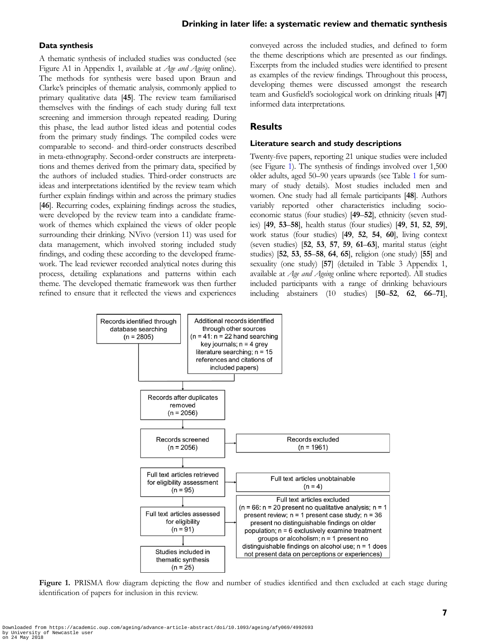#### Drinking in later life: a systematic review and thematic synthesis

#### Data synthesis

A thematic synthesis of included studies was conducted (see Figure A1 in Appendix 1, available at Age and Ageing online). The methods for synthesis were based upon Braun and Clarke's principles of thematic analysis, commonly applied to primary qualitative data [45]. The review team familiarised themselves with the findings of each study during full text screening and immersion through repeated reading. During this phase, the lead author listed ideas and potential codes from the primary study findings. The compiled codes were comparable to second- and third-order constructs described in meta-ethnography. Second-order constructs are interpretations and themes derived from the primary data, specified by the authors of included studies. Third-order constructs are ideas and interpretations identified by the review team which further explain findings within and across the primary studies [46]. Recurring codes, explaining findings across the studies, were developed by the review team into a candidate framework of themes which explained the views of older people surrounding their drinking. NVivo (version 11) was used for data management, which involved storing included study findings, and coding these according to the developed framework. The lead reviewer recorded analytical notes during this process, detailing explanations and patterns within each theme. The developed thematic framework was then further refined to ensure that it reflected the views and experiences conveyed across the included studies, and defined to form the theme descriptions which are presented as our findings. Excerpts from the included studies were identified to present as examples of the review findings. Throughout this process, developing themes were discussed amongst the research team and Gusfield's sociological work on drinking rituals [47] informed data interpretations.

#### Results

#### Literature search and study descriptions

Twenty-five papers, reporting 21 unique studies were included (see Figure 1). The synthesis of findings involved over 1,500 older adults, aged 50–90 years upwards (see Table [1](#page-2-0) for summary of study details). Most studies included men and women. One study had all female participants [48]. Authors variably reported other characteristics including socioeconomic status (four studies) [49–52], ethnicity (seven studies) [49, 53–58], health status (four studies) [49, 51, 52, 59], work status (four studies) [49, 52, 54, 60], living context (seven studies) [52, 53, 57, 59, 61–63], marital status (eight studies) [52, 53, 55–58, 64, 65], religion (one study) [55] and sexuality (one study) [57] (detailed in Table 3 Appendix 1, available at Age and Ageing online where reported). All studies included participants with a range of drinking behaviours including abstainers (10 studies) [50–52, 62, 66–71],



Figure 1. PRISMA flow diagram depicting the flow and number of studies identified and then excluded at each stage during identification of papers for inclusion in this review.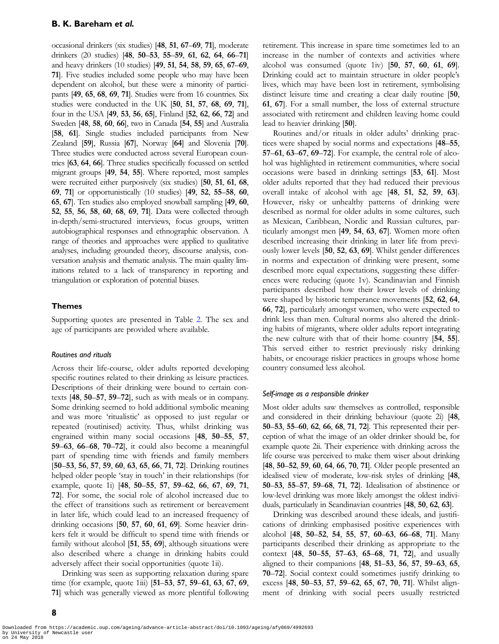occasional drinkers (six studies) [48, 51, 67–69, 71], moderate drinkers (20 studies) [48, 50–53, 55–59, 61, 62, 64, 66–71] and heavy drinkers (10 studies) [49, 51, 54, 58, 59, 65, 67–69, 71]. Five studies included some people who may have been dependent on alcohol, but these were a minority of participants [49, 65, 68, 69, 71]. Studies were from 16 countries. Six studies were conducted in the UK [50, 51, 57, 68, 69, 71], four in the USA [49, 53, 56, 65], Finland [52, 62, 66, 72] and Sweden [48, 58, 60, 66], two in Canada [54, 55] and Australia [58, 61]. Single studies included participants from New Zealand [59], Russia [67], Norway [64] and Slovenia [70]. Three studies were conducted across several European countries [63, 64, 66]. Three studies specifically focussed on settled migrant groups [49, 54, 55]. Where reported, most samples were recruited either purposively (six studies) [50, 51, 61, 68, 69, 71] or opportunistically (10 studies) [49, 52, 55–58, 60, 65, 67]. Ten studies also employed snowball sampling [49, 60, 52, 55, 56, 58, 60, 68, 69, 71]. Data were collected through in-depth/semi-structured interviews, focus groups, written autobiographical responses and ethnographic observation. A range of theories and approaches were applied to qualitative analyses, including grounded theory, discourse analysis, conversation analysis and thematic analysis. The main quality limitations related to a lack of transparency in reporting and triangulation or exploration of potential biases.

#### Themes

Supporting quotes are presented in Table [2](#page-8-0). The sex and age of participants are provided where available.

#### Routines and rituals

Across their life-course, older adults reported developing specific routines related to their drinking as leisure practices. Descriptions of their drinking were bound to certain contexts [48, 50–57, 59–72], such as with meals or in company. Some drinking seemed to hold additional symbolic meaning and was more 'ritualistic' as opposed to just regular or repeated (routinised) activity. Thus, whilst drinking was engrained within many social occasions [48, 50–55, 57, 59–63, 66–68, 70–72], it could also become a meaningful part of spending time with friends and family members [50–53, 56, 57, 59, 60, 63, 65, 66, 71, 72]. Drinking routines helped older people 'stay in touch' in their relationships (for example, quote 1i) [48, 50–55, 57, 59–62, 66, 67, 69, 71, 72]. For some, the social role of alcohol increased due to the effect of transitions such as retirement or bereavement in later life, which could lead to an increased frequency of drinking occasions [50, 57, 60, 61, 69]. Some heavier drinkers felt it would be difficult to spend time with friends or family without alcohol [51, 55, 69], although situations were also described where a change in drinking habits could adversely affect their social opportunities (quote 1ii).

Drinking was seen as supporting relaxation during spare time (for example, quote 1iii) [51–53, 57, 59–61, 63, 67, 69, 71] which was generally viewed as more plentiful following retirement. This increase in spare time sometimes led to an increase in the number of contexts and activities where alcohol was consumed (quote 1iv) [50, 57, 60, 61, 69]. Drinking could act to maintain structure in older people's lives, which may have been lost in retirement, symbolising distinct leisure time and creating a clear daily routine [50, 61, 67]. For a small number, the loss of external structure associated with retirement and children leaving home could lead to heavier drinking [50].

Routines and/or rituals in older adults' drinking practices were shaped by social norms and expectations [48–55, 57–61, 63–67, 69–72]. For example, the central role of alcohol was highlighted in retirement communities, where social occasions were based in drinking settings [53, 61]. Most older adults reported that they had reduced their previous overall intake of alcohol with age [48, 51, 52, 59, 63]. However, risky or unhealthy patterns of drinking were described as normal for older adults in some cultures, such as Mexican, Caribbean, Nordic and Russian cultures, particularly amongst men [49, 54, 63, 67]. Women more often described increasing their drinking in later life from previously lower levels [50, 52, 63, 69]. Whilst gender differences in norms and expectation of drinking were present, some described more equal expectations, suggesting these differences were reducing (quote 1v). Scandinavian and Finnish participants described how their lower levels of drinking were shaped by historic temperance movements [52, 62, 64, 66, 72], particularly amongst women, who were expected to drink less than men. Cultural norms also altered the drinking habits of migrants, where older adults report integrating the new culture with that of their home country [54, 55]. This served either to restrict previously risky drinking habits, or encourage riskier practices in groups whose home country consumed less alcohol.

#### Self-image as a responsible drinker

Most older adults saw themselves as controlled, responsible and considered in their drinking behaviour (quote 2i) [48, 50–53, 55–60, 62, 66, 68, 71, 72]. This represented their perception of what the image of an older drinker should be, for example quote 2ii. Their experience with drinking across the life course was perceived to make them wiser about drinking [48, 50–52, 59, 60, 64, 66, 70, 71]. Older people presented an idealised view of moderate, low-risk styles of drinking [48, 50–53, 55–57, 59–68, 71, 72]. Idealisation of abstinence or low-level drinking was more likely amongst the oldest individuals, particularly in Scandinavian countries [48, 50, 62, 63].

Drinking was described around these ideals, and justifications of drinking emphasised positive experiences with alcohol [48, 50–52, 54, 55, 57, 60–63, 66–68, 71]. Many participants described their drinking as appropriate to the context [48, 50–55, 57–63, 65–68, 71, 72], and usually aligned to their companions [48, 51–53, 56, 57, 59–63, 65, 70–72]. Social context could sometimes justify drinking to excess [48, 50–53, 57, 59–62, 65, 67, 70, 71]. Whilst alignment of drinking with social peers usually restricted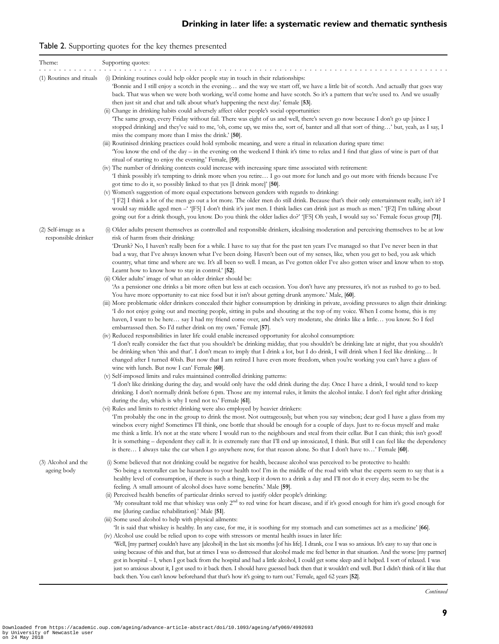# <span id="page-8-0"></span>Table 2. Supporting quotes for the key themes presented

| Theme:                                     | Supporting quotes:                                                                                                                                                                                                                                                                                                                                                                                                                                                                                                                                                                                                                                                                                                                                                                                                                                                                                                                                                                                                                                                                                                                                                                                                                                                                                                                                                                                                                                                                                                                                                                                                                                                                                                                                                                                                                                                                                                                                                                                                                                                                                                                                                                                                                                                                                                                                                                                                                                                                                                                                                                                                                                                                                                                                                                                                                                                                                                                                                                                                                                                                                                                                                                                                                                                      |
|--------------------------------------------|-------------------------------------------------------------------------------------------------------------------------------------------------------------------------------------------------------------------------------------------------------------------------------------------------------------------------------------------------------------------------------------------------------------------------------------------------------------------------------------------------------------------------------------------------------------------------------------------------------------------------------------------------------------------------------------------------------------------------------------------------------------------------------------------------------------------------------------------------------------------------------------------------------------------------------------------------------------------------------------------------------------------------------------------------------------------------------------------------------------------------------------------------------------------------------------------------------------------------------------------------------------------------------------------------------------------------------------------------------------------------------------------------------------------------------------------------------------------------------------------------------------------------------------------------------------------------------------------------------------------------------------------------------------------------------------------------------------------------------------------------------------------------------------------------------------------------------------------------------------------------------------------------------------------------------------------------------------------------------------------------------------------------------------------------------------------------------------------------------------------------------------------------------------------------------------------------------------------------------------------------------------------------------------------------------------------------------------------------------------------------------------------------------------------------------------------------------------------------------------------------------------------------------------------------------------------------------------------------------------------------------------------------------------------------------------------------------------------------------------------------------------------------------------------------------------------------------------------------------------------------------------------------------------------------------------------------------------------------------------------------------------------------------------------------------------------------------------------------------------------------------------------------------------------------------------------------------------------------------------------------------------------------|
| (1) Routines and rituals                   | (i) Drinking routines could help older people stay in touch in their relationships:<br>Bonnie and I still enjoy a scotch in the evening and the way we start off, we have a little bit of scotch. And actually that goes way<br>back. That was when we were both working, we'd come home and have scotch. So it's a pattern that we're used to. And we usually<br>then just sit and chat and talk about what's happening the next day.' female [53].<br>(ii) Change in drinking habits could adversely affect older people's social opportunities:<br>The same group, every Friday without fail. There was eight of us and well, there's seven go now because I don't go up [since I<br>stopped drinking] and they've said to me, 'oh, come up, we miss the, sort of, banter and all that sort of thing' but, yeah, as I say, I<br>miss the company more than I miss the drink.' [50].<br>(iii) Routinised drinking practices could hold symbolic meaning, and were a ritual in relaxation during spare time:<br>You know the end of the day - in the evening on the weekend I think it's time to relax and I find that glass of wine is part of that<br>ritual of starting to enjoy the evening.' Female, [59].<br>(iv) The number of drinking contexts could increase with increasing spare time associated with retirement:<br>I think possibly it's tempting to drink more when you retire I go out more for lunch and go out more with friends because I've<br>got time to do it, so possibly linked to that yes $\left[1 \right]$ drink more $\left[50\right]$ .<br>(v) Women's suggestion of more equal expectations between genders with regards to drinking:<br>T F2 I think a lot of the men go out a lot more. The older men do still drink. Because that's their only entertainment really, isn't it? I<br>would say middle aged men - '[F5] I don't think it's just men. I think ladies can drink just as much as men.' '[F2] I'm talking about<br>going out for a drink though, you know. Do you think the older ladies do?' '[F5] Oh yeah, I would say so.' Female focus group [71].                                                                                                                                                                                                                                                                                                                                                                                                                                                                                                                                                                                                                                                                                                                                                                                                                                                                                                                                                                                                                                                                                                                                                                     |
| (2) Self-image as a<br>responsible drinker | (i) Older adults present themselves as controlled and responsible drinkers, idealising moderation and perceiving themselves to be at low<br>risk of harm from their drinking:<br>'Drunk? No, I haven't really been for a while. I have to say that for the past ten years I've managed so that I've never been in that<br>bad a way, that I've always known what I've been doing. Haven't been out of my senses, like, when you get to bed, you ask which<br>country, what time and where are we. It's all been so well. I mean, as I've gotten older I've also gotten wiser and know when to stop.<br>Learnt how to know how to stay in control.' [52].<br>(ii) Older adults' image of what an older drinker should be:<br>'As a pensioner one drinks a bit more often but less at each occasion. You don't have any pressures, it's not as rushed to go to bed.<br>You have more opportunity to eat nice food but it isn't about getting drunk anymore.' Male, [60].<br>(iii) More problematic older drinkers concealed their higher consumption by drinking in private, avoiding pressures to align their drinking:<br>I do not enjoy going out and meeting people, sitting in pubs and shouting at the top of my voice. When I come home, this is my<br>haven, I want to be here… say I had my friend come over, and she's very moderate, she drinks like a little… you know. So I feel<br>embarrassed then. So I'd rather drink on my own.' Female [57].<br>(iv) Reduced responsibilities in later life could enable increased opportunity for alcohol consumption:<br>'I don't really consider the fact that you shouldn't be drinking midday, that you shouldn't be drinking late at night, that you shouldn't<br>be drinking when 'this and that'. I don't mean to imply that I drink a lot, but I do drink, I will drink when I feel like drinking It<br>changed after I turned 40ish. But now that I am retired I have even more freedom, when you're working you can't have a glass of<br>wine with lunch. But now I can' Female [60].<br>(v) Self-imposed limits and rules maintained controlled drinking patterns:<br>'I don't like drinking during the day, and would only have the odd drink during the day. Once I have a drink, I would tend to keep<br>drinking. I don't normally drink before 6 pm. Those are my internal rules, it limits the alcohol intake. I don't feel right after drinking<br>during the day, which is why I tend not to.' Female [61].<br>(vi) Rules and limits to restrict drinking were also employed by heavier drinkers:<br>Tm probably the one in the group to drink the most. Not outrageously, but when you say winebox; dear god I have a glass from my<br>winebox every night! Sometimes I'll think, one bottle that should be enough for a couple of days. Just to re-focus myself and make<br>me think a little. It's not at the state where I would run to the neighbours and steal from their cellar. But I can think; this isn't good!<br>It is something – dependent they call it. It is extremely rare that I'll end up intoxicated, I think. But still I can feel like the dependency<br>is there I always take the car when I go anywhere now, for that reason alone. So that I don't have to' Female [60]. |
| (3) Alcohol and the<br>ageing body         | (i) Some believed that not drinking could be negative for health, because alcohol was perceived to be protective to health:<br>So being a teetotaller can be hazardous to your health too! I'm in the middle of the road with what the experts seem to say that is a<br>healthy level of consumption, if there is such a thing, keep it down to a drink a day and I'll not do it every day, seem to be the<br>feeling. A small amount of alcohol does have some benefits.' Male [59].<br>(ii) Perceived health benefits of particular drinks served to justify older people's drinking:<br>'My consultant told me that whiskey was only 2 <sup>nd</sup> to red wine for heart disease, and if it's good enough for him it's good enough for<br>me [during cardiac rehabilitation].' Male [51].<br>(iii) Some used alcohol to help with physical ailments:<br>Tt is said that whiskey is healthy. In any case, for me, it is soothing for my stomach and can sometimes act as a medicine' [66].<br>(iv) Alcohol use could be relied upon to cope with stressors or mental health issues in later life:<br>Well, [my partner] couldn't have any [alcohol] in the last six months [of his life]. I drank, coz I was so anxious. It's easy to say that one is<br>using because of this and that, but at times I was so distressed that alcohol made me feel better in that situation. And the worse [my partner]<br>got in hospital – I, when I got back from the hospital and had a little alcohol, I could get some sleep and it helped. I sort of relaxed. I was<br>just so anxious about it, I got used to it back then. I should have guessed back then that it wouldn't end well. But I didn't think of it like that<br>back then. You can't know beforehand that that's how it's going to turn out.' Female, aged 62 years [52].                                                                                                                                                                                                                                                                                                                                                                                                                                                                                                                                                                                                                                                                                                                                                                                                                                                                                                                                                                                                                                                                                                                                                                                                                                                                                                                                                                                                                                     |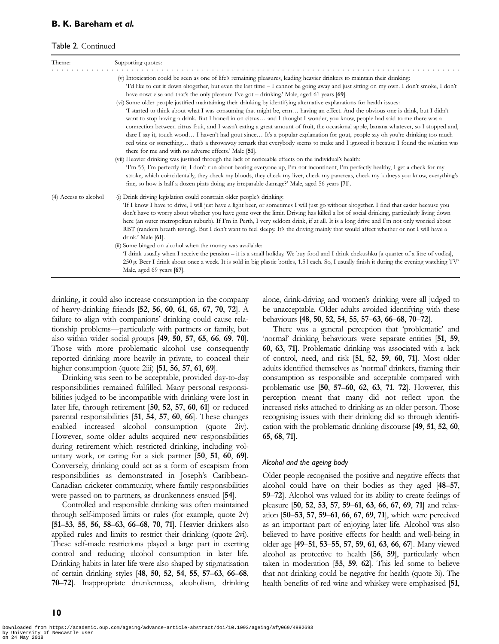#### B. K. Bareham et al.

#### Table 2. Continued

| Theme:                | Supporting quotes:                                                                                                                                                                                                                                                                                                                                                                                                                                                                                                                                                                                                                                                                                                                                                                                                                                                                                                                                                                                                                                                                                                                                                                                                                                                                                                                                                                                                                                                                                                                                                                                                                                                                                                        |  |  |  |
|-----------------------|---------------------------------------------------------------------------------------------------------------------------------------------------------------------------------------------------------------------------------------------------------------------------------------------------------------------------------------------------------------------------------------------------------------------------------------------------------------------------------------------------------------------------------------------------------------------------------------------------------------------------------------------------------------------------------------------------------------------------------------------------------------------------------------------------------------------------------------------------------------------------------------------------------------------------------------------------------------------------------------------------------------------------------------------------------------------------------------------------------------------------------------------------------------------------------------------------------------------------------------------------------------------------------------------------------------------------------------------------------------------------------------------------------------------------------------------------------------------------------------------------------------------------------------------------------------------------------------------------------------------------------------------------------------------------------------------------------------------------|--|--|--|
|                       | (v) Intoxication could be seen as one of life's remaining pleasures, leading heavier drinkers to maintain their drinking:<br>Td like to cut it down altogether, but even the last time – I cannot be going away and just sitting on my own. I don't smoke, I don't<br>have nowt else and that's the only pleasure I've got $-$ drinking.' Male, aged 61 years [69].<br>(vi) Some older people justified maintaining their drinking by identifying alternative explanations for health issues:<br>'I started to think about what I was consuming that might be, erm having an effect. And the obvious one is drink, but I didn't<br>want to stop having a drink. But I honed in on citrus and I thought I wonder, you know, people had said to me there was a<br>connection between citrus fruit, and I wasn't eating a great amount of fruit, the occasional apple, banana whatever, so I stopped and,<br>dare I say it, touch wood I haven't had gout since It's a popular explanation for gout, people say oh you're drinking too much<br>red wine or something that's a throwaway remark that everybody seems to make and I ignored it because I found the solution was<br>there for me and with no adverse effects.' Male [51].<br>(vii) Heavier drinking was justified through the lack of noticeable effects on the individual's health:<br>Tm 55, I'm perfectly fit, I don't run about beating everyone up, I'm not incontinent, I'm perfectly healthy, I get a check for my<br>stroke, which coincidentally, they check my bloods, they check my liver, check my pancreas, check my kidneys you know, everything's<br>fine, so how is half a dozen pints doing any irreparable damage?' Male, aged 56 years [71]. |  |  |  |
| (4) Access to alcohol | (i) Drink driving legislation could constrain older people's drinking:<br>If I know I have to drive, I will just have a light beer, or sometimes I will just go without altogether. I find that easier because you<br>don't have to worry about whether you have gone over the limit. Driving has killed a lot of social drinking, particularly living down<br>here (an outer metropolitan suburb). If I'm in Perth, I very seldom drink, if at all. It is a long drive and I'm not only worried about<br>RBT (random breath testing). But I don't want to feel sleepy. It's the driving mainly that would affect whether or not I will have a<br>drink.' Male [61].<br>(ii) Some binged on alcohol when the money was available:<br>'I drink usually when I receive the pension - it is a small holiday. We buy food and I drink chekushku [a quarter of a litre of vodka],<br>250 g. Beer I drink about once a week. It is sold in big plastic bottles, 1.51 each. So, I usually finish it during the evening watching TV'<br>Male, aged 69 years [67].                                                                                                                                                                                                                                                                                                                                                                                                                                                                                                                                                                                                                                                                 |  |  |  |

drinking, it could also increase consumption in the company of heavy-drinking friends [52, 56, 60, 61, 65, 67, 70, 72]. A failure to align with companions' drinking could cause relationship problems—particularly with partners or family, but also within wider social groups [49, 50, 57, 65, 66, 69, 70]. Those with more problematic alcohol use consequently reported drinking more heavily in private, to conceal their higher consumption (quote 2iii) [51, 56, 57, 61, 69].

Drinking was seen to be acceptable, provided day-to-day responsibilities remained fulfilled. Many personal responsibilities judged to be incompatible with drinking were lost in later life, through retirement [50, 52, 57, 60, 61] or reduced parental responsibilities [51, 54, 57, 60, 66]. These changes enabled increased alcohol consumption (quote 2iv). However, some older adults acquired new responsibilities during retirement which restricted drinking, including voluntary work, or caring for a sick partner [50, 51, 60, 69]. Conversely, drinking could act as a form of escapism from responsibilities as demonstrated in Joseph's Caribbean-Canadian cricketer community, where family responsibilities were passed on to partners, as drunkenness ensued [54].

Controlled and responsible drinking was often maintained through self-imposed limits or rules (for example, quote 2v) [51–53, 55, 56, 58–63, 66–68, 70, 71]. Heavier drinkers also applied rules and limits to restrict their drinking (quote 2vi). These self-made restrictions played a large part in exerting control and reducing alcohol consumption in later life. Drinking habits in later life were also shaped by stigmatisation of certain drinking styles [48, 50, 52, 54, 55, 57–63, 66–68, 70–72]. Inappropriate drunkenness, alcoholism, drinking alone, drink-driving and women's drinking were all judged to be unacceptable. Older adults avoided identifying with these behaviours [48, 50, 52, 54, 55, 57–63, 66–68, 70–72].

There was a general perception that 'problematic' and 'normal' drinking behaviours were separate entities [51, 59, 60, 63, 71]. Problematic drinking was associated with a lack of control, need, and risk [51, 52, 59, 60, 71]. Most older adults identified themselves as 'normal' drinkers, framing their consumption as responsible and acceptable compared with problematic use [50, 57–60, 62, 63, 71, 72]. However, this perception meant that many did not reflect upon the increased risks attached to drinking as an older person. Those recognising issues with their drinking did so through identification with the problematic drinking discourse [49, 51, 52, 60, 65, 68, 71].

#### Alcohol and the ageing body

Older people recognised the positive and negative effects that alcohol could have on their bodies as they aged [48–57, 59–72]. Alcohol was valued for its ability to create feelings of pleasure [50, 52, 53, 57, 59–61, 63, 66, 67, 69, 71] and relaxation [50–53, 57, 59–61, 66, 67, 69, 71], which were perceived as an important part of enjoying later life. Alcohol was also believed to have positive effects for health and well-being in older age [49–51, 53–55, 57, 59, 61, 63, 66, 67]. Many viewed alcohol as protective to health [56, 59], particularly when taken in moderation [55, 59, 62]. This led some to believe that not drinking could be negative for health (quote 3i). The health benefits of red wine and whiskey were emphasised [51,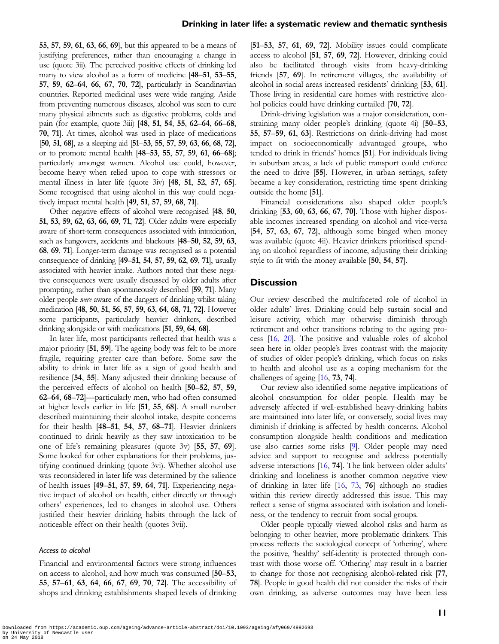55, 57, 59, 61, 63, 66, 69], but this appeared to be a means of justifying preferences, rather than encouraging a change in use (quote 3ii). The perceived positive effects of drinking led many to view alcohol as a form of medicine [48–51, 53–55, 57, 59, 62–64, 66, 67, 70, 72], particularly in Scandinavian countries. Reported medicinal uses were wide ranging. Aside from preventing numerous diseases, alcohol was seen to cure many physical ailments such as digestive problems, colds and pain (for example, quote 3iii) [48, 51, 54, 55, 62–64, 66–68, 70, 71]. At times, alcohol was used in place of medications [50, 51, 68], as a sleeping aid [51–53, 55, 57, 59, 63, 66, 68, 72], or to promote mental health [48–53, 55, 57, 59, 61, 66–68]; particularly amongst women. Alcohol use could, however, become heavy when relied upon to cope with stressors or mental illness in later life (quote 3iv) [48, 51, 52, 57, 65]. Some recognised that using alcohol in this way could negatively impact mental health [49, 51, 57, 59, 68, 71].

Other negative effects of alcohol were recognised [48, 50, 51, 53, 59, 62, 63, 66, 69, 71, 72]. Older adults were especially aware of short-term consequences associated with intoxication, such as hangovers, accidents and blackouts [48–50, 52, 59, 63, 68, 69, 71]. Longer-term damage was recognised as a potential consequence of drinking [49–51, 54, 57, 59, 62, 69, 71], usually associated with heavier intake. Authors noted that these negative consequences were usually discussed by older adults after prompting, rather than spontaneously described [59, 71]. Many older people were aware of the dangers of drinking whilst taking medication [48, 50, 51, 56, 57, 59, 63, 64, 68, 71, 72]. However some participants, particularly heavier drinkers, described drinking alongside or with medications [51, 59, 64, 68].

In later life, most participants reflected that health was a major priority [51, 59]. The ageing body was felt to be more fragile, requiring greater care than before. Some saw the ability to drink in later life as a sign of good health and resilience [54, 55]. Many adjusted their drinking because of the perceived effects of alcohol on health [50–52, 57, 59, 62–64, 68–72]—particularly men, who had often consumed at higher levels earlier in life [51, 55, 68]. A small number described maintaining their alcohol intake, despite concerns for their health [48–51, 54, 57, 68–71]. Heavier drinkers continued to drink heavily as they saw intoxication to be one of life's remaining pleasures (quote 3v) [55, 57, 69]. Some looked for other explanations for their problems, justifying continued drinking (quote 3vi). Whether alcohol use was reconsidered in later life was determined by the salience of health issues [49–51, 57, 59, 64, 71]. Experiencing negative impact of alcohol on health, either directly or through others' experiences, led to changes in alcohol use. Others justified their heavier drinking habits through the lack of noticeable effect on their health (quotes 3vii).

#### Access to alcohol

Financial and environmental factors were strong influences on access to alcohol, and how much was consumed [50–53, 55, 57–61, 63, 64, 66, 67, 69, 70, 72]. The accessibility of shops and drinking establishments shaped levels of drinking

[51–53, 57, 61, 69, 72]. Mobility issues could complicate access to alcohol [51, 57, 69, 72]. However, drinking could also be facilitated through visits from heavy-drinking friends [57, 69]. In retirement villages, the availability of alcohol in social areas increased residents' drinking [53, 61]. Those living in residential care homes with restrictive alcohol policies could have drinking curtailed [70, 72].

Drink-driving legislation was a major consideration, constraining many older people's drinking (quote 4i) [50–53, 55, 57–59, 61, 63]. Restrictions on drink-driving had most impact on socioeconomically advantaged groups, who tended to drink in friends' homes [51]. For individuals living in suburban areas, a lack of public transport could enforce the need to drive [55]. However, in urban settings, safety became a key consideration, restricting time spent drinking outside the home [51].

Financial considerations also shaped older people's drinking [53, 60, 63, 66, 67, 70]. Those with higher disposable incomes increased spending on alcohol and vice-versa [54, 57, 63, 67, 72], although some binged when money was available (quote 4ii). Heavier drinkers prioritised spending on alcohol regardless of income, adjusting their drinking style to fit with the money available [50, 54, 57].

#### **Discussion**

Our review described the multifaceted role of alcohol in older adults' lives. Drinking could help sustain social and leisure activity, which may otherwise diminish through retirement and other transitions relating to the ageing process [\[16,](#page-12-0) [20](#page-12-0)]. The positive and valuable roles of alcohol seen here in older people's lives contrast with the majority of studies of older people's drinking, which focus on risks to health and alcohol use as a coping mechanism for the challenges of ageing [[16,](#page-12-0) 73, 74].

Our review also identified some negative implications of alcohol consumption for older people. Health may be adversely affected if well-established heavy-drinking habits are maintained into later life, or conversely, social lives may diminish if drinking is affected by health concerns. Alcohol consumption alongside health conditions and medication use also carries some risks [[9\]](#page-12-0). Older people may need advice and support to recognise and address potentially adverse interactions [[16](#page-12-0), 74]. The link between older adults' drinking and loneliness is another common negative view of drinking in later life [[16,](#page-12-0) 73, 76] although no studies within this review directly addressed this issue. This may reflect a sense of stigma associated with isolation and loneliness, or the tendency to recruit from social groups.

Older people typically viewed alcohol risks and harm as belonging to other heavier, more problematic drinkers. This process reflects the sociological concept of 'othering', where the positive, 'healthy' self-identity is protected through contrast with those worse off. 'Othering' may result in a barrier to change for those not recognising alcohol-related risk [77, 78]. People in good health did not consider the risks of their own drinking, as adverse outcomes may have been less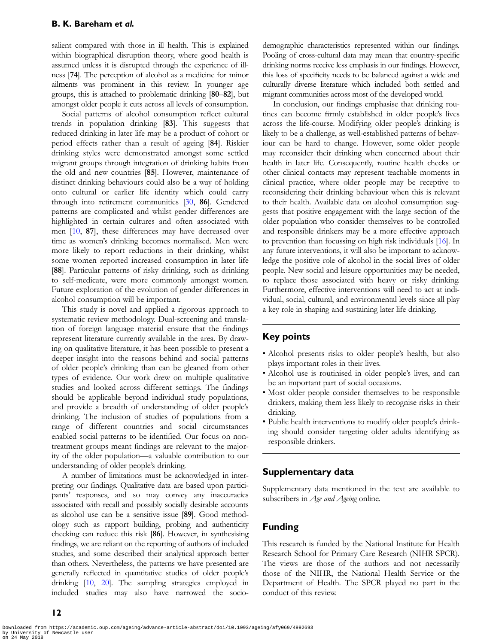#### B. K. Bareham et al.

salient compared with those in ill health. This is explained within biographical disruption theory, where good health is assumed unless it is disrupted through the experience of illness [74]. The perception of alcohol as a medicine for minor ailments was prominent in this review. In younger age groups, this is attached to problematic drinking [80–82], but amongst older people it cuts across all levels of consumption.

Social patterns of alcohol consumption reflect cultural trends in population drinking [83]. This suggests that reduced drinking in later life may be a product of cohort or period effects rather than a result of ageing [84]. Riskier drinking styles were demonstrated amongst some settled migrant groups through integration of drinking habits from the old and new countries [85]. However, maintenance of distinct drinking behaviours could also be a way of holding onto cultural or earlier life identity which could carry through into retirement communities [[30](#page-12-0), 86]. Gendered patterns are complicated and whilst gender differences are highlighted in certain cultures and often associated with men [\[10](#page-12-0), 87], these differences may have decreased over time as women's drinking becomes normalised. Men were more likely to report reductions in their drinking, whilst some women reported increased consumption in later life [88]. Particular patterns of risky drinking, such as drinking to self-medicate, were more commonly amongst women. Future exploration of the evolution of gender differences in alcohol consumption will be important.

This study is novel and applied a rigorous approach to systematic review methodology. Dual-screening and translation of foreign language material ensure that the findings represent literature currently available in the area. By drawing on qualitative literature, it has been possible to present a deeper insight into the reasons behind and social patterns of older people's drinking than can be gleaned from other types of evidence. Our work drew on multiple qualitative studies and looked across different settings. The findings should be applicable beyond individual study populations, and provide a breadth of understanding of older people's drinking. The inclusion of studies of populations from a range of different countries and social circumstances enabled social patterns to be identified. Our focus on nontreatment groups meant findings are relevant to the majority of the older population—a valuable contribution to our understanding of older people's drinking.

A number of limitations must be acknowledged in interpreting our findings. Qualitative data are based upon participants' responses, and so may convey any inaccuracies associated with recall and possibly socially desirable accounts as alcohol use can be a sensitive issue [89]. Good methodology such as rapport building, probing and authenticity checking can reduce this risk [86]. However, in synthesising findings, we are reliant on the reporting of authors of included studies, and some described their analytical approach better than others. Nevertheless, the patterns we have presented are generally reflected in quantitative studies of older people's drinking [\[10,](#page-12-0) [20\]](#page-12-0). The sampling strategies employed in included studies may also have narrowed the sociodemographic characteristics represented within our findings. Pooling of cross-cultural data may mean that country-specific drinking norms receive less emphasis in our findings. However, this loss of specificity needs to be balanced against a wide and culturally diverse literature which included both settled and migrant communities across most of the developed world.

In conclusion, our findings emphasise that drinking routines can become firmly established in older people's lives across the life-course. Modifying older people's drinking is likely to be a challenge, as well-established patterns of behaviour can be hard to change. However, some older people may reconsider their drinking when concerned about their health in later life. Consequently, routine health checks or other clinical contacts may represent teachable moments in clinical practice, where older people may be receptive to reconsidering their drinking behaviour when this is relevant to their health. Available data on alcohol consumption suggests that positive engagement with the large section of the older population who consider themselves to be controlled and responsible drinkers may be a more effective approach to prevention than focussing on high risk individuals [[16\]](#page-12-0). In any future interventions, it will also be important to acknowledge the positive role of alcohol in the social lives of older people. New social and leisure opportunities may be needed, to replace those associated with heavy or risky drinking. Furthermore, effective interventions will need to act at individual, social, cultural, and environmental levels since all play a key role in shaping and sustaining later life drinking.

# Key points

- Alcohol presents risks to older people's health, but also plays important roles in their lives.
- Alcohol use is routinised in older people's lives, and can be an important part of social occasions.
- Most older people consider themselves to be responsible drinkers, making them less likely to recognise risks in their drinking.
- Public health interventions to modify older people's drinking should consider targeting older adults identifying as responsible drinkers.

# Supplementary data

Supplementary data mentioned in the text are available to subscribers in Age and Ageing online.

# Funding

This research is funded by the National Institute for Health Research School for Primary Care Research (NIHR SPCR). The views are those of the authors and not necessarily those of the NIHR, the National Health Service or the Department of Health. The SPCR played no part in the conduct of this review.